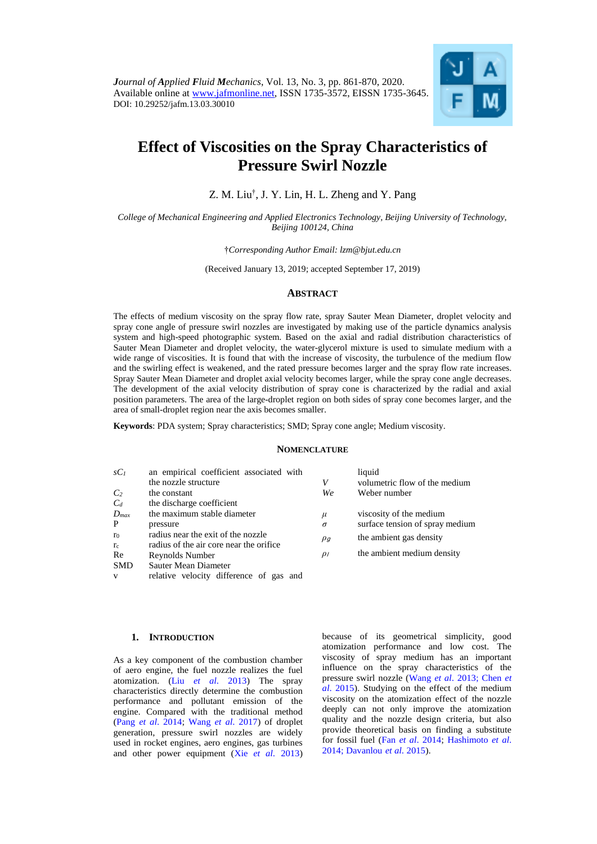

# **Effect of Viscosities on the Spray Characteristics of Pressure Swirl Nozzle**

Z. M. Liu† , J. Y. Lin, H. L. Zheng and Y. Pang

*College of Mechanical Engineering and Applied Electronics Technology, Beijing University of Technology, Beijing 100124, China* 

†*Corresponding Author Email: [lzm@bjut.edu.cn](mailto:lzm@bjut.edu.cn)*

(Received January 13, 2019; accepted September 17, 2019)

# **ABSTRACT**

The effects of medium viscosity on the spray flow rate, spray Sauter Mean Diameter, droplet velocity and spray cone angle of pressure swirl nozzles are investigated by making use of the particle dynamics analysis system and high-speed photographic system. Based on the axial and radial distribution characteristics of Sauter Mean Diameter and droplet velocity, the water-glycerol mixture is used to simulate medium with a wide range of viscosities. It is found that with the increase of viscosity, the turbulence of the medium flow and the swirling effect is weakened, and the rated pressure becomes larger and the spray flow rate increases. Spray Sauter Mean Diameter and droplet axial velocity becomes larger, while the spray cone angle decreases. The development of the axial velocity distribution of spray cone is characterized by the radial and axial position parameters. The area of the large-droplet region on both sides of spray cone becomes larger, and the area of small-droplet region near the axis becomes smaller.

**Keywords**: PDA system; Spray characteristics; SMD; Spray cone angle; Medium viscosity.

#### **NOMENCLATURE**

| $SC_I$         | an empirical coefficient associated with |          | liquid                          |  |
|----------------|------------------------------------------|----------|---------------------------------|--|
|                | the nozzle structure                     | V        | volumetric flow of the medium   |  |
| C <sub>2</sub> | the constant                             | We       | Weber number                    |  |
| $C_d$          | the discharge coefficient                |          |                                 |  |
| $D_{max}$      | the maximum stable diameter              | $\mu$    | viscosity of the medium         |  |
| P              | pressure                                 | $\sigma$ | surface tension of spray medium |  |
| r <sub>0</sub> | radius near the exit of the nozzle       | $\rho_g$ | the ambient gas density         |  |
| $r_c$          | radius of the air core near the orifice  |          |                                 |  |
| Re             | Reynolds Number                          | $\rho$   | the ambient medium density      |  |
| <b>SMD</b>     | Sauter Mean Diameter                     |          |                                 |  |
| V              | relative velocity difference of gas and  |          |                                 |  |

# **1. INTRODUCTION**

As a key component of the combustion chamber of aero engine, the fuel nozzle realizes the fuel atomization. (Liu *et al*[. 2013\)](#page-9-0) The spray characteristics directly determine the combustion performance and pollutant emission of the engine. Compared with the traditional method (Pang *et al*[. 2014;](#page-9-1) Wang *et al*[. 2017\)](#page-9-2) of droplet generation, pressure swirl nozzles are widely used in rocket engines, aero engines, gas turbines and other power equipment (Xie *et al*[. 2013\)](#page-9-3)

because of its geometrical simplicity, good atomization performance and low cost. The viscosity of spray medium has an important influence on the spray characteristics of the pressure swirl nozzle [\(Wang](#page-9-4) *et al*. 201[3; Chen](#page-8-0) *et al*[. 2015\)](#page-8-0). Studying on the effect of the medium viscosity on the atomization effect of the nozzle deeply can not only improve the atomization quality and the nozzle design criteria, but also provide theoretical basis on finding a substitute for fossil fuel (Fan *et al*[. 2014;](#page-8-1) [Hashimoto](#page-8-2) *et al*. [2014;](#page-8-2) [Davanlou](#page-8-3) *et al*. 2015).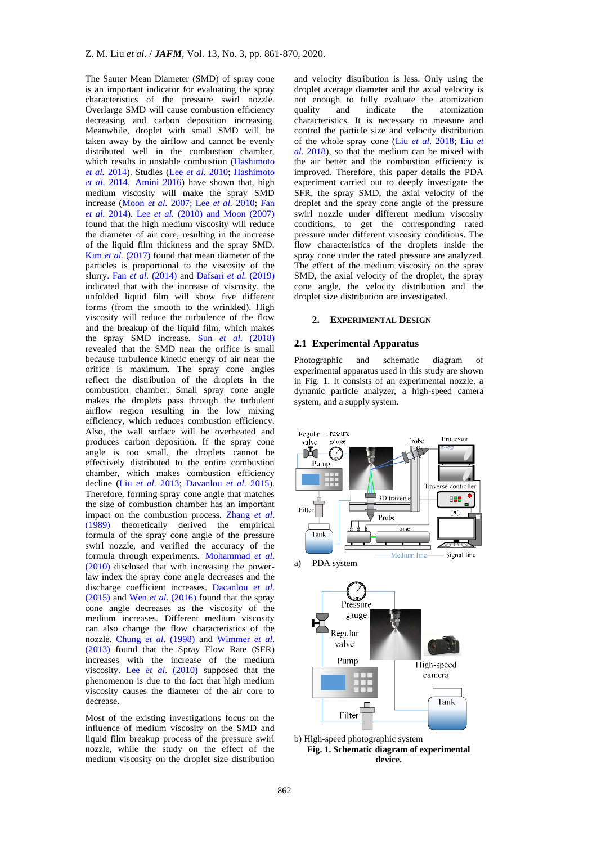The Sauter Mean Diameter (SMD) of spray cone is an important indicator for evaluating the spray characteristics of the pressure swirl nozzle. Overlarge SMD will cause combustion efficiency decreasing and carbon deposition increasing. Meanwhile, droplet with small SMD will be taken away by the airflow and cannot be evenly distributed well in the combustion chamber, which results in unstable combustion [\(Hashimoto](#page-8-2)  *et al.* [2014\)](#page-8-2). Studies (Lee *et al.* [2010;](#page-9-5) [Hashimoto](#page-8-2)  *et al.* [2014,](#page-8-2) [Amini 2016\)](#page-8-4) have shown that, high medium viscosity will make the spray SMD increase [\(Moon](#page-9-6) *et al.* 2007; Lee *et al.* [2010;](#page-9-5) [Fan](#page-8-1)  *et al.* [2014\)](#page-8-1). Lee *et al.* [\(2010\)](#page-9-5) [and Moon \(2007\)](#page-9-6) found that the high medium viscosity will reduce the diameter of air core, resulting in the increase of the liquid film thickness and the spray SMD. Kim *et al.* [\(2017\)](#page-9-7) found that mean diameter of the particles is proportional to the viscosity of the slurry. Fan *et al.* [\(2014\)](#page-8-1) and [Dafsari](#page-8-5) *et al.* (2019) indicated that with the increase of viscosity, the unfolded liquid film will show five different forms (from the smooth to the wrinkled). High viscosity will reduce the turbulence of the flow and the breakup of the liquid film, which makes the spray SMD increase. Sun *[et al.](#page-9-8)* (2018) revealed that the SMD near the orifice is small because turbulence kinetic energy of air near the orifice is maximum. The spray cone angles reflect the distribution of the droplets in the combustion chamber. Small spray cone angle makes the droplets pass through the turbulent airflow region resulting in the low mixing efficiency, which reduces combustion efficiency. Also, the wall surface will be overheated and produces carbon deposition. If the spray cone angle is too small, the droplets cannot be effectively distributed to the entire combustion chamber, which makes combustion efficiency decline (Liu *et al*[. 2013;](#page-9-0) [Davanlou](#page-8-3) *et al*. 2015). Therefore, forming spray cone angle that matches the size of combustion chamber has an important impact on the combustion process. [Zhang](#page-9-9) *et al*. [\(1989\)](#page-9-9) theoretically derived the empirical formula of the spray cone angle of the pressure swirl nozzle, and verified the accuracy of the formula through experiments. [Mohammad](#page-9-10) *et al*. [\(2010\)](#page-9-10) disclosed that with increasing the powerlaw index the spray cone angle decreases and the discharge coefficient increases. [Dacanlou](#page-8-3) *et al*. [\(2015\)](#page-8-3) and Wen *et al*[. \(2016\)](#page-9-11) found that the spray cone angle decreases as the viscosity of the medium increases. Different medium viscosity can also change the flow characteristics of the nozzle. Chung *et al*[. \(1998\)](#page-8-6) and [Wimmer](#page-9-12) *et al*. [\(2013\)](#page-9-12) found that the Spray Flow Rate (SFR) increases with the increase of the medium viscosity. Lee *et al*[. \(2010\)](#page-9-5) supposed that the phenomenon is due to the fact that high medium viscosity causes the diameter of the air core to decrease.

Most of the existing investigations focus on the influence of medium viscosity on the SMD and liquid film breakup process of the pressure swirl nozzle, while the study on the effect of the medium viscosity on the droplet size distribution

and velocity distribution is less. Only using the droplet average diameter and the axial velocity is not enough to fully evaluate the atomization<br>quality and indicate the atomization and indicate the atomization characteristics. It is necessary to measure and control the particle size and velocity distribution of the whole spray cone (Liu *et al*[. 2018;](#page-9-13) [Liu](#page-9-14) *et al*[. 2018\)](#page-9-14), so that the medium can be mixed with the air better and the combustion efficiency is improved. Therefore, this paper details the PDA experiment carried out to deeply investigate the SFR, the spray SMD, the axial velocity of the droplet and the spray cone angle of the pressure swirl nozzle under different medium viscosity conditions, to get the corresponding rated pressure under different viscosity conditions. The flow characteristics of the droplets inside the spray cone under the rated pressure are analyzed. The effect of the medium viscosity on the spray SMD, the axial velocity of the droplet, the spray cone angle, the velocity distribution and the droplet size distribution are investigated.

#### **2. EXPERIMENTAL DESIGN**

#### **2.1 Experimental Apparatus**

Photographic and schematic diagram of experimental apparatus used in this study are shown in Fig. 1. It consists of an experimental nozzle, a dynamic particle analyzer, a high-speed camera system, and a supply system.



**Fig. 1. Schematic diagram of experimental device.**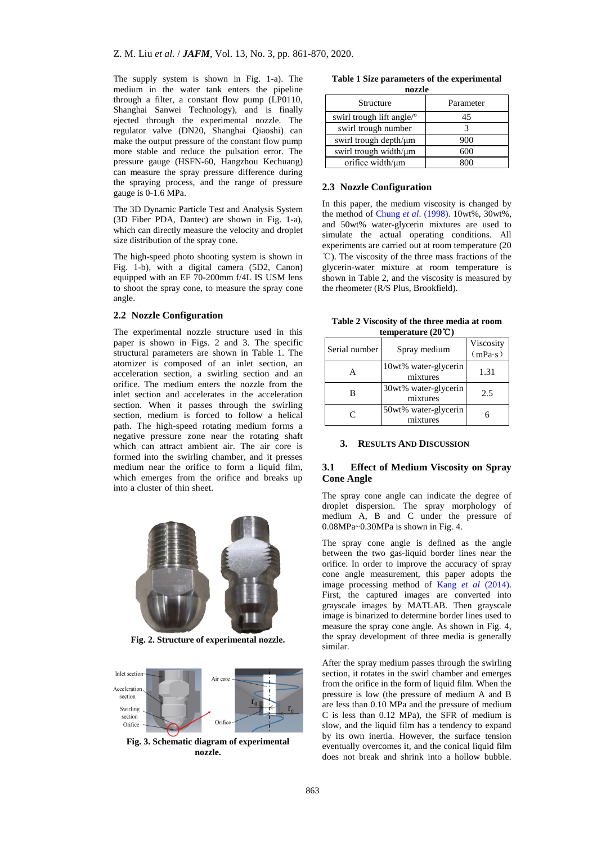The supply system is shown in Fig. 1-a). The medium in the water tank enters the pipeline through a filter, a constant flow pump (LP0110, Shanghai Sanwei Technology), and is finally ejected through the experimental nozzle. The regulator valve (DN20, Shanghai Qiaoshi) can make the output pressure of the constant flow pump more stable and reduce the pulsation error. The pressure gauge (HSFN-60, Hangzhou Kechuang) can measure the spray pressure difference during the spraying process, and the range of pressure gauge is 0-1.6 MPa.

The 3D Dynamic Particle Test and Analysis System (3D Fiber PDA, Dantec) are shown in Fig. 1-a), which can directly measure the velocity and droplet size distribution of the spray cone.

The high-speed photo shooting system is shown in Fig. 1-b), with a digital camera (5D2, Canon) equipped with an EF 70-200mm f/4L IS USM lens to shoot the spray cone, to measure the spray cone angle.

## **2.2 Nozzle Configuration**

The experimental nozzle structure used in this paper is shown in Figs. 2 and 3. The specific structural parameters are shown in Table 1. The atomizer is composed of an inlet section, an acceleration section, a swirling section and an orifice. The medium enters the nozzle from the inlet section and accelerates in the acceleration section. When it passes through the swirling section, medium is forced to follow a helical path. The high-speed rotating medium forms a negative pressure zone near the rotating shaft which can attract ambient air. The air core is formed into the swirling chamber, and it presses medium near the orifice to form a liquid film, which emerges from the orifice and breaks up into a cluster of thin sheet.



**Fig. 2. Structure of experimental nozzle.**



**Fig. 3. Schematic diagram of experimental nozzle.**

|        |  |  |  |  | Table 1 Size parameters of the experimental |  |
|--------|--|--|--|--|---------------------------------------------|--|
| nozzle |  |  |  |  |                                             |  |

| Structure                   | Parameter |  |  |  |  |
|-----------------------------|-----------|--|--|--|--|
| swirl trough lift angle/°   | 45        |  |  |  |  |
| swirl trough number         |           |  |  |  |  |
| swirl trough depth/ $\mu$ m | 900       |  |  |  |  |
| swirl trough width/ $\mu$ m | 600       |  |  |  |  |
| orifice width/µm            |           |  |  |  |  |

#### **2.3 Nozzle Configuration**

In this paper, the medium viscosity is changed by the method of Chung *et al*[. \(1998\).](#page-8-6) 10wt%, 30wt%, and 50wt% water-glycerin mixtures are used to simulate the actual operating conditions. All experiments are carried out at room temperature (20 ℃). The viscosity of the three mass fractions of the glycerin-water mixture at room temperature is shown in Table 2, and the viscosity is measured by the rheometer (R/S Plus, Brookfield).

**Table 2 Viscosity of the three media at room temperature (20**℃**)**

| Serial number | Spray medium                     | Viscosity<br>(mPa·s) |  |  |  |  |
|---------------|----------------------------------|----------------------|--|--|--|--|
|               | 10wt% water-glycerin<br>mixtures | 1.31                 |  |  |  |  |
| R             | 30wt% water-glycerin<br>mixtures | 2.5                  |  |  |  |  |
| $\subset$     | 50wt% water-glycerin<br>mixtures |                      |  |  |  |  |

#### **3. RESULTS AND DISCUSSION**

# **3.1 Effect of Medium Viscosity on Spray Cone Angle**

The spray cone angle can indicate the degree of droplet dispersion. The spray morphology of medium A, B and C under the pressure of 0.08MPa~0.30MPa is shown in Fig. 4.

The spray cone angle is defined as the angle between the two gas-liquid border lines near the orifice. In order to improve the accuracy of spray cone angle measurement, this paper adopts the image processing method of [Kang](#page-9-15) *et al* (2014). First, the captured images are converted into grayscale images by MATLAB. Then grayscale image is binarized to determine border lines used to measure the spray cone angle. As shown in Fig. 4, the spray development of three media is generally similar.

After the spray medium passes through the swirling section, it rotates in the swirl chamber and emerges from the orifice in the form of liquid film. When the pressure is low (the pressure of medium A and B are less than 0.10 MPa and the pressure of medium C is less than 0.12 MPa), the SFR of medium is slow, and the liquid film has a tendency to expand by its own inertia. However, the surface tension eventually overcomes it, and the conical liquid film does not break and shrink into a hollow bubble.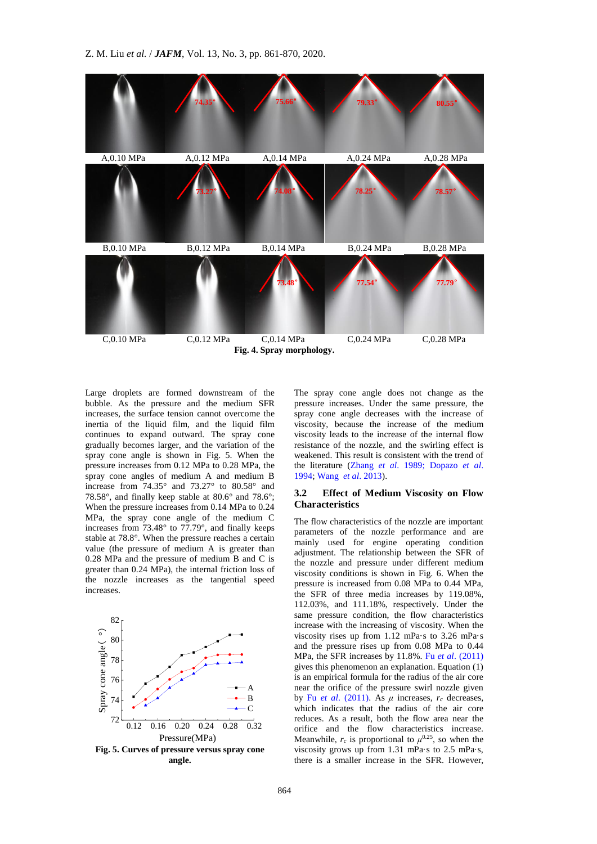

Large droplets are formed downstream of the bubble. As the pressure and the medium SFR increases, the surface tension cannot overcome the inertia of the liquid film, and the liquid film continues to expand outward. The spray cone gradually becomes larger, and the variation of the spray cone angle is shown in Fig. 5. When the pressure increases from 0.12 MPa to 0.28 MPa, the spray cone angles of medium A and medium B increase from 74.35° and 73.27° to 80.58° and 78.58°, and finally keep stable at 80.6° and 78.6°; When the pressure increases from 0.14 MPa to 0.24 MPa, the spray cone angle of the medium C increases from 73.48° to 77.79°, and finally keeps stable at 78.8°. When the pressure reaches a certain value (the pressure of medium A is greater than 0.28 MPa and the pressure of medium B and C is greater than 0.24 MPa), the internal friction loss of the nozzle increases as the tangential speed increases.



**Fig. 5. Curves of pressure versus spray cone angle.**

The spray cone angle does not change as the pressure increases. Under the same pressure, the spray cone angle decreases with the increase of viscosity, because the increase of the medium viscosity leads to the increase of the internal flow resistance of the nozzle, and the swirling effect is weakened. This result is consistent with the trend of the literature [\(Zhang](#page-9-9) *et al*. 1989; [Dopazo](#page-8-7) *et al*. [1994;](#page-8-7) [Wang](#page-9-4) *et al*. 2013).

### **3.2 Effect of Medium Viscosity on Flow Characteristics**

 A near the orifice of the pressure swirl nozzle given B by Fu *et al.* (2011). As  $μ$  increases,  $r_c$  decreases, C which indicates that the radius of the air core The flow characteristics of the nozzle are important parameters of the nozzle performance and are mainly used for engine operating condition adjustment. The relationship between the SFR of the nozzle and pressure under different medium viscosity conditions is shown in Fig. 6. When the pressure is increased from 0.08 MPa to 0.44 MPa, the SFR of three media increases by 119.08%, 112.03%, and 111.18%, respectively. Under the same pressure condition, the flow characteristics increase with the increasing of viscosity. When the viscosity rises up from 1.12 mPa·s to 3.26 mPa·s and the pressure rises up from 0.08 MPa to 0.44 MPa, the SFR increases by 11.8%. Fu *et al*[. \(2011\)](#page-8-8) gives this phenomenon an explanation. Equation (1) is an empirical formula for the radius of the air core reduces. As a result, both the flow area near the orifice and the flow characteristics increase. Meanwhile,  $r_c$  is proportional to  $\mu^{0.25}$ , so when the viscosity grows up from 1.31 mPa·s to 2.5 mPa·s, there is a smaller increase in the SFR. However,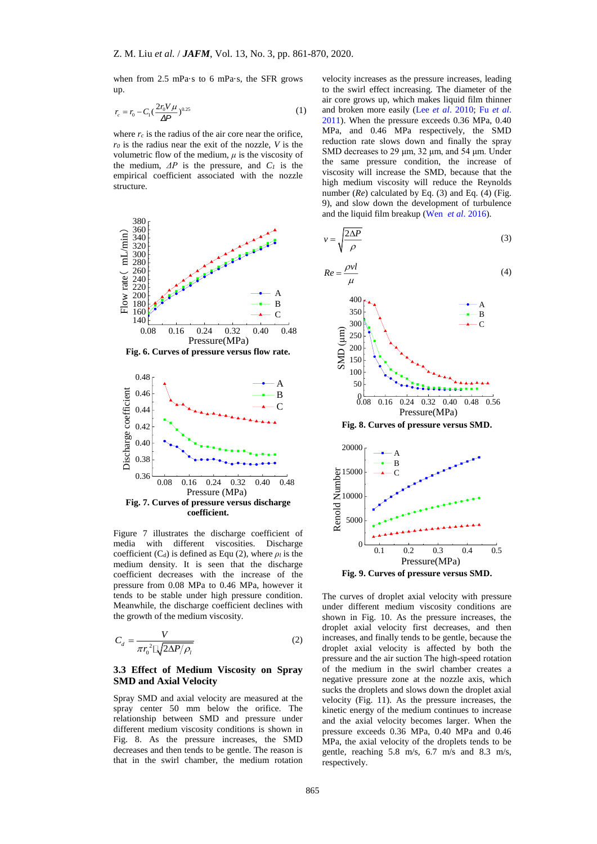when from 2.5 mPa·s to 6 mPa·s, the SFR grows up.

$$
r_c = r_0 - C_1 \left(\frac{2r_0 V \mu}{\Delta P}\right)^{0.25}
$$
 (1)

where  $r_c$  is the radius of the air core near the orifice, *r<sup>0</sup>* is the radius near the exit of the nozzle, *V* is the volumetric flow of the medium, *μ* is the viscosity of the medium,  $\Delta P$  is the pressure, and  $C_I$  is the empirical coefficient associated with the nozzle structure.





Figure 7 illustrates the discharge coefficient of media with different viscosities. Discharge coefficient (C<sub>d</sub>) is defined as Equ (2), where  $\rho_l$  is the medium density. It is seen that the discharge coefficient decreases with the increase of the pressure from 0.08 MPa to 0.46 MPa, however it tends to be stable under high pressure condition. Meanwhile, the discharge coefficient declines with the growth of the medium viscosity.

$$
C_d = \frac{V}{\pi r_0^2 \sqrt{2\Delta P/\rho_l}}
$$
 (2)

# **3.3 Effect of Medium Viscosity on Spray SMD and Axial Velocity**

Spray SMD and axial velocity are measured at the spray center 50 mm below the orifice. The relationship between SMD and pressure under different medium viscosity conditions is shown in Fig. 8. As the pressure increases, the SMD decreases and then tends to be gentle. The reason is that in the swirl chamber, the medium rotation

velocity increases as the pressure increases, leading to the swirl effect increasing. The diameter of the air core grows up, which makes liquid film thinner and broken more easily (Lee *et al*[. 2010;](#page-9-5) Fu *[et al](#page-8-8)*. [2011\)](#page-8-8). When the pressure exceeds 0.36 MPa, 0.40 MPa, and 0.46 MPa respectively, the SMD reduction rate slows down and finally the spray SMD decreases to 29 μm, 32 μm, and 54 μm. Under the same pressure condition, the increase of viscosity will increase the SMD, because that the high medium viscosity will reduce the Reynolds number (*Re*) calculated by Eq. (3) and Eq. (4) (Fig. 9), and slow down the development of turbulence and the liquid film breakup (Wen *et al*[. 2016\)](#page-9-11).

$$
v = \sqrt{\frac{2\Delta P}{\rho}}
$$
 (3)

$$
Re = \frac{\rho v l}{\mu} \tag{4}
$$



**Fig. 8. Curves of pressure versus SMD.**



The curves of droplet axial velocity with pressure under different medium viscosity conditions are shown in Fig. 10. As the pressure increases, the droplet axial velocity first decreases, and then increases, and finally tends to be gentle, because the droplet axial velocity is affected by both the pressure and the air suction The high-speed rotation of the medium in the swirl chamber creates a negative pressure zone at the nozzle axis, which sucks the droplets and slows down the droplet axial velocity (Fig. 11). As the pressure increases, the kinetic energy of the medium continues to increase and the axial velocity becomes larger. When the pressure exceeds 0.36 MPa, 0.40 MPa and 0.46 MPa, the axial velocity of the droplets tends to be gentle, reaching 5.8 m/s, 6.7 m/s and 8.3 m/s, respectively.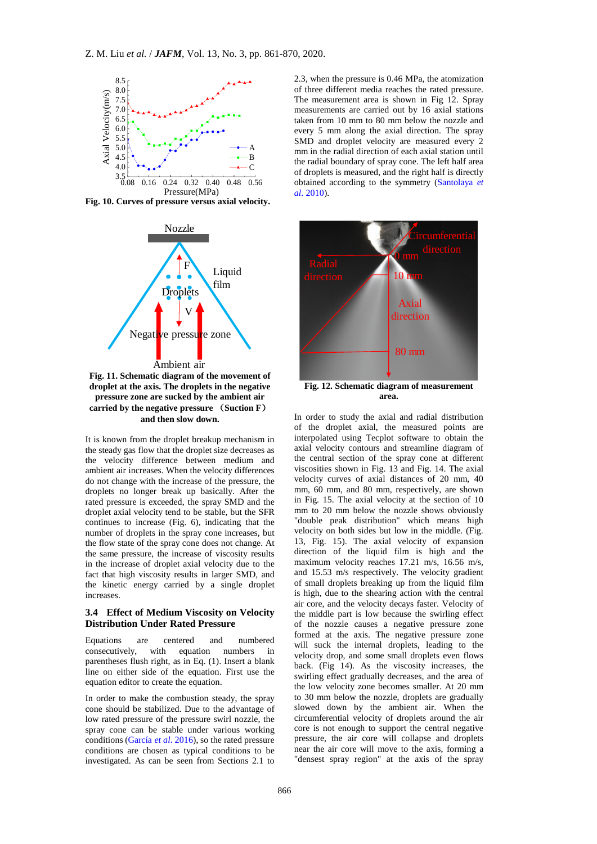

**Fig. 10. Curves of pressure versus axial velocity.**



**droplet at the axis. The droplets in the negative pressure zone are sucked by the ambient air carried by the negative pressure** (**Suction F**) **and then slow down.**

It is known from the droplet breakup mechanism in the steady gas flow that the droplet size decreases as the velocity difference between medium and ambient air increases. When the velocity differences do not change with the increase of the pressure, the droplets no longer break up basically. After the rated pressure is exceeded, the spray SMD and the droplet axial velocity tend to be stable, but the SFR continues to increase (Fig. 6), indicating that the number of droplets in the spray cone increases, but the flow state of the spray cone does not change. At the same pressure, the increase of viscosity results in the increase of droplet axial velocity due to the fact that high viscosity results in larger SMD, and the kinetic energy carried by a single droplet increases.

# **3.4 Effect of Medium Viscosity on Velocity Distribution Under Rated Pressure**

Equations are centered and numbered consecutively, with equation numbers in parentheses flush right, as in Eq. (1). Insert a blank line on either side of the equation. First use the equation editor to create the equation.

In order to make the combustion steady, the spray cone should be stabilized. Due to the advantage of low rated pressure of the pressure swirl nozzle, the spray cone can be stable under various working conditions [\(García](#page-8-9) *et al*. 2016), so the rated pressure conditions are chosen as typical conditions to be investigated. As can be seen from Sections 2.1 to

A
mm in the radial direction of each axial station until B<br>the radial boundary of spray cone. The left half area C<br>of droplets is measured, and the right half is directly 2.3, when the pressure is 0.46 MPa, the atomization of three different media reaches the rated pressure. The measurement area is shown in Fig 12. Spray measurements are carried out by 16 axial stations taken from 10 mm to 80 mm below the nozzle and every 5 mm along the axial direction. The spray SMD and droplet velocity are measured every 2 obtained according to the symmetry [\(Santolaya](#page-9-16) *et al*[. 2010\)](#page-9-16).



**Fig. 12. Schematic diagram of measurement area.**

In order to study the axial and radial distribution of the droplet axial, the measured points are interpolated using Tecplot software to obtain the axial velocity contours and streamline diagram of the central section of the spray cone at different viscosities shown in Fig. 13 and Fig. 14. The axial velocity curves of axial distances of 20 mm, 40 mm, 60 mm, and 80 mm, respectively, are shown in Fig. 15. The axial velocity at the section of 10 mm to 20 mm below the nozzle shows obviously "double peak distribution" which means high velocity on both sides but low in the middle. (Fig. 13, Fig. 15). The axial velocity of expansion direction of the liquid film is high and the maximum velocity reaches 17.21 m/s, 16.56 m/s, and 15.53 m/s respectively. The velocity gradient of small droplets breaking up from the liquid film is high, due to the shearing action with the central air core, and the velocity decays faster. Velocity of the middle part is low because the swirling effect of the nozzle causes a negative pressure zone formed at the axis. The negative pressure zone will suck the internal droplets, leading to the velocity drop, and some small droplets even flows back. (Fig 14). As the viscosity increases, the swirling effect gradually decreases, and the area of the low velocity zone becomes smaller. At 20 mm to 30 mm below the nozzle, droplets are gradually slowed down by the ambient air. When the circumferential velocity of droplets around the air core is not enough to support the central negative pressure, the air core will collapse and droplets near the air core will move to the axis, forming a "densest spray region" at the axis of the spray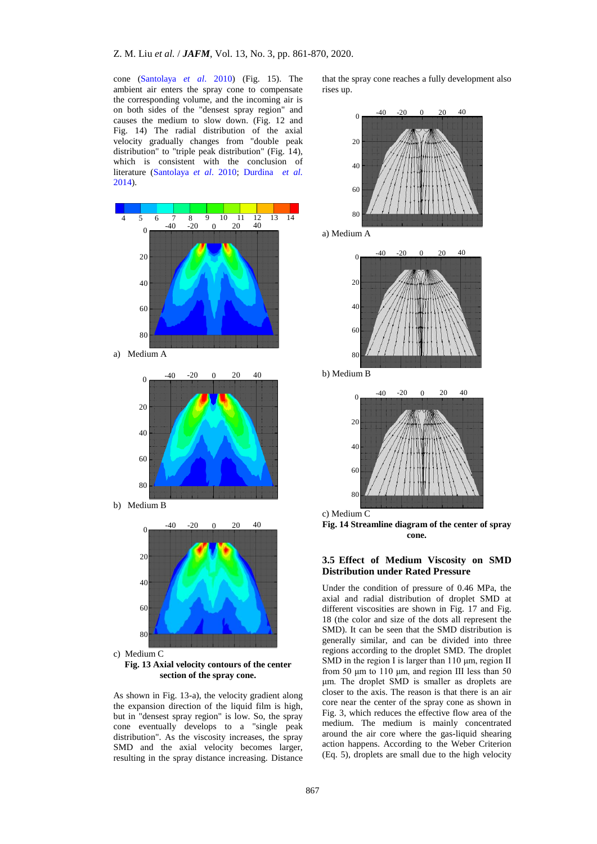cone [\(Santolaya](#page-9-16) *et al*. 2010) (Fig. 15). The ambient air enters the spray cone to compensate the corresponding volume, and the incoming air is on both sides of the "densest spray region" and causes the medium to slow down. (Fig. 12 and Fig. 14) The radial distribution of the axial velocity gradually changes from "double peak distribution" to "triple peak distribution" (Fig. 14), which is consistent with the conclusion of literature [\(Santolaya](#page-9-16) *et al*. 2010; [Durdina](#page-8-10) *et al.* [2014\)](#page-8-10).



60  $\overline{80}$ 

c) Medium C **Fig. 13 Axial velocity contours of the center section of the spray cone.**

As shown in Fig. 13-a), the velocity gradient along the expansion direction of the liquid film is high, but in "densest spray region" is low. So, the spray cone eventually develops to a "single peak distribution". As the viscosity increases, the spray SMD and the axial velocity becomes larger, resulting in the spray distance increasing. Distance that the spray cone reaches a fully development also rises up.



a) Medium A



b) Medium B





# **3.5 Effect of Medium Viscosity on SMD Distribution under Rated Pressure**

Under the condition of pressure of 0.46 MPa, the axial and radial distribution of droplet SMD at different viscosities are shown in Fig. 17 and Fig. 18 (the color and size of the dots all represent the SMD). It can be seen that the SMD distribution is generally similar, and can be divided into three regions according to the droplet SMD. The droplet SMD in the region I is larger than 110 μm, region II from 50 μm to 110 μm, and region III less than 50 μm. The droplet SMD is smaller as droplets are closer to the axis. The reason is that there is an air core near the center of the spray cone as shown in Fig. 3, which reduces the effective flow area of the medium. The medium is mainly concentrated around the air core where the gas-liquid shearing action happens. According to the Weber Criterion (Eq. 5), droplets are small due to the high velocity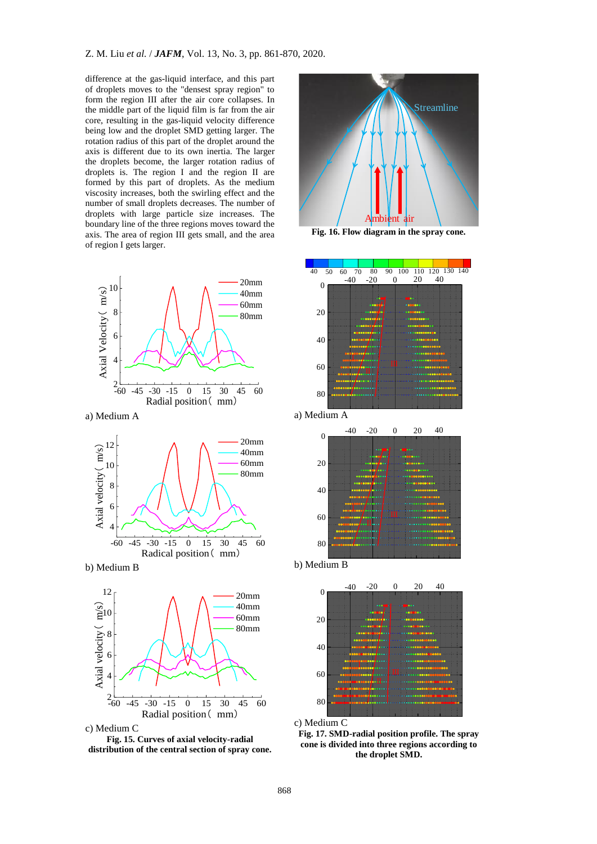difference at the gas-liquid interface, and this part of droplets moves to the "densest spray region" to form the region III after the air core collapses. In the middle part of the liquid film is far from the air core, resulting in the gas-liquid velocity difference being low and the droplet SMD getting larger. The rotation radius of this part of the droplet around the axis is different due to its own inertia. The larger the droplets become, the larger rotation radius of droplets is. The region I and the region II are formed by this part of droplets. As the medium viscosity increases, both the swirling effect and the number of small droplets decreases. The number of droplets with large particle size increases. The boundary line of the three regions moves toward the axis. The area of region III gets small, and the area of region I gets larger.



a) Medium A











**Fig. 16. Flow diagram in the spray cone.** 



a) Medium A







c) Medium C

**Fig. 17. SMD-radial position profile. The spray cone is divided into three regions according to the droplet SMD.**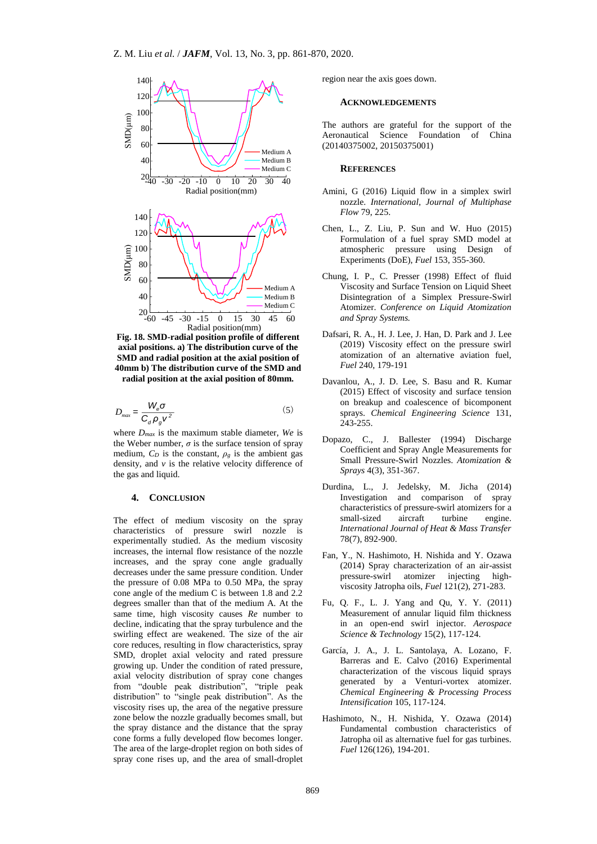

**Fig. 18. SMD-radial position profile of different axial positions. a) The distribution curve of the SMD and radial position at the axial position of 40mm b) The distribution curve of the SMD and radial position at the axial position of 80mm.** 

$$
D_{\text{max}} = \frac{W_e \sigma}{C_d \rho_g v^2} \tag{5}
$$

where *Dmax* is the maximum stable diameter, *We* is the Weber number,  $\sigma$  is the surface tension of spray medium,  $C_D$  is the constant,  $\rho_g$  is the ambient gas density, and  $\nu$  is the relative velocity difference of the gas and liquid.

#### <span id="page-8-10"></span><span id="page-8-9"></span><span id="page-8-8"></span><span id="page-8-1"></span>**4. CONCLUSION**

<span id="page-8-2"></span>The effect of medium viscosity on the spray characteristics of pressure swirl nozzle is experimentally studied. As the medium viscosity increases, the internal flow resistance of the nozzle increases, and the spray cone angle gradually decreases under the same pressure condition. Under the pressure of 0.08 MPa to 0.50 MPa, the spray cone angle of the medium C is between 1.8 and 2.2 degrees smaller than that of the medium A. At the same time, high viscosity causes *Re* number to decline, indicating that the spray turbulence and the swirling effect are weakened. The size of the air core reduces, resulting in flow characteristics, spray SMD, droplet axial velocity and rated pressure growing up. Under the condition of rated pressure, axial velocity distribution of spray cone changes from "double peak distribution", "triple peak distribution" to "single peak distribution". As the viscosity rises up, the area of the negative pressure zone below the nozzle gradually becomes small, but the spray distance and the distance that the spray cone forms a fully developed flow becomes longer. The area of the large-droplet region on both sides of spray cone rises up, and the area of small-droplet

region near the axis goes down.

#### **ACKNOWLEDGEMENTS**

The authors are grateful for the support of the Aeronautical Science Foundation of China (20140375002, 20150375001)

# **REFERENCES**

- <span id="page-8-4"></span>Amini, G (2016) Liquid flow in a simplex swirl nozzle. *International, Journal of Multiphase Flow* 79, 225.
- <span id="page-8-6"></span><span id="page-8-0"></span>Chen, L., Z. Liu, P. Sun and W. Huo (2015) Formulation of a fuel spray SMD model at atmospheric pressure using Design of Experiments (DoE), *Fuel* 153, 355-360.
- <span id="page-8-7"></span><span id="page-8-5"></span><span id="page-8-3"></span>Medium A **Viscosity and Surface Tension on Liquid Sheet**  Medium B Disintegration of a Simplex Pressure-Swirl Medium C Atomizer. *Conference on Liquid Atomization*  Chung, I. P., C. Presser (1998) Effect of fluid *and Spray Systems.*
	- Dafsari, R. A., H. J. Lee, J. Han, D. Park and J. Lee (2019) Viscosity effect on the pressure swirl atomization of an alternative aviation fuel, *Fuel* 240, 179-191
	- Davanlou, A., J. D. Lee, S. Basu and R. Kumar (2015) Effect of viscosity and surface tension on breakup and coalescence of bicomponent sprays. *Chemical Engineering Science* 131, 243-255.
	- Dopazo, C., J. Ballester (1994) Discharge Coefficient and Spray Angle Measurements for Small Pressure-Swirl Nozzles. *Atomization & Sprays* 4(3), 351-367.
	- Durdina, L., J. Jedelsky, M. Jicha (2014) Investigation and comparison of spray characteristics of pressure-swirl atomizers for a small-sized aircraft turbine engine. *International Journal of Heat & Mass Transfer* 78(7), 892-900.
	- Fan, Y., N. Hashimoto, H. Nishida and Y. Ozawa (2014) Spray characterization of an air-assist pressure-swirl atomizer injecting highviscosity Jatropha oils, *Fuel* 121(2), 271-283.
	- Fu, Q. F., L. J. Yang and Qu, Y. Y. (2011) Measurement of annular liquid film thickness in an open-end swirl injector. *Aerospace Science & Technology* 15(2), 117-124.
	- García, J. A., J. L. Santolaya, A. Lozano, F. Barreras and E. Calvo (2016) Experimental characterization of the viscous liquid sprays generated by a Venturi-vortex atomizer. *Chemical Engineering & Processing Process Intensification* 105, 117-124.
	- Hashimoto, N., H. Nishida, Y. Ozawa (2014) Fundamental combustion characteristics of Jatropha oil as alternative fuel for gas turbines. *Fuel* 126(126), 194-201.